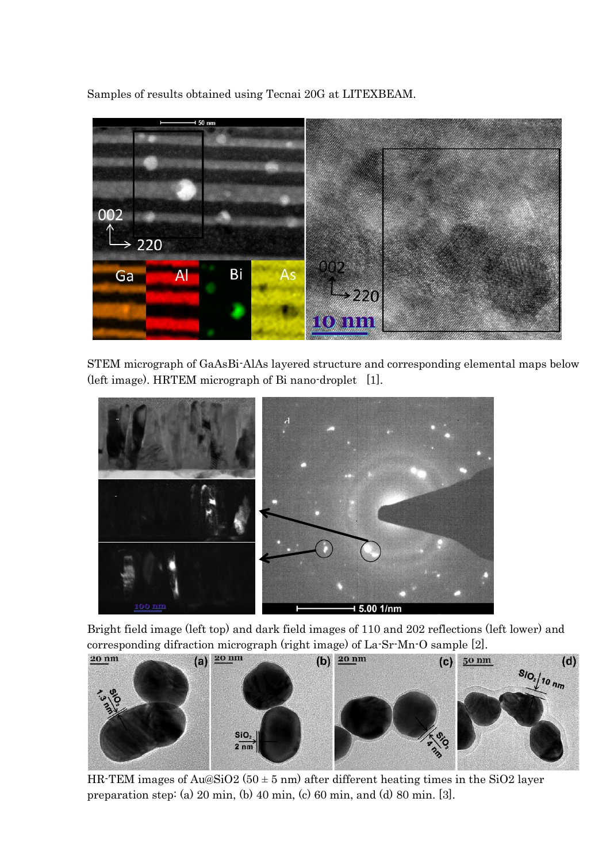Samples of results obtained using Tecnai 20G at LITEXBEAM.



STEM micrograph of GaAsBi-AlAs layered structure and corresponding elemental maps below (left image). HRTEM micrograph of Bi nano-droplet [1].



Bright field image (left top) and dark field images of 110 and 202 reflections (left lower) and corresponding difraction micrograph (right image) of La-Sr-Mn-O sample [2].



HR-TEM images of Au $\&$ SiO2 (50  $\pm$  5 nm) after different heating times in the SiO2 layer preparation step: (a) 20 min, (b) 40 min, (c) 60 min, and (d) 80 min. [3].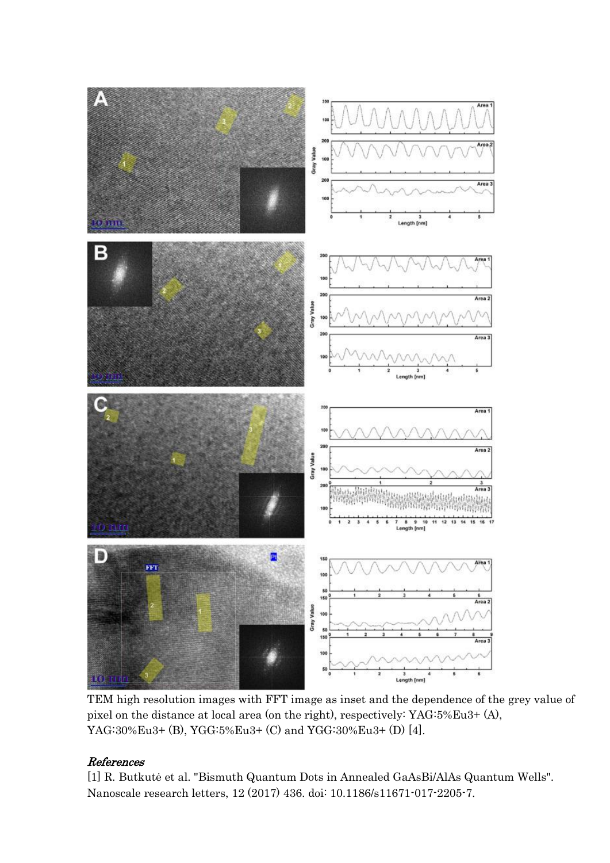

TEM high resolution images with FFT image as inset and the dependence of the grey value of pixel on the distance at local area (on the right), respectively: YAG:5%Eu3+ (A), YAG:30%Eu3+ (B), YGG:5%Eu3+ (C) and YGG:30%Eu3+ (D) [4].

## References

[1] R. Butkutė et al. "Bismuth Quantum Dots in Annealed GaAsBi/AlAs Quantum Wells". Nanoscale research letters, 12 (2017) 436. doi: 10.1186/s11671-017-2205-7.